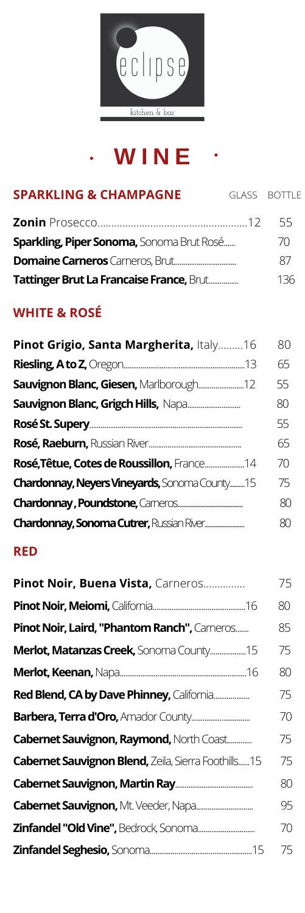

# **W I N E**

| <b>SPARKLING &amp; CHAMPAGNE</b>          | GLASS BOTTLE |
|-------------------------------------------|--------------|
|                                           | 55           |
| Sparkling, Piper Sonoma, Sonoma Brut Rosé | 70           |
|                                           | 87           |
| Tattinger Brut La Francaise France, Brut  | 136          |

### **WHITE & ROSÉ**

| 80 |
|----|
| 65 |
| 55 |
| 80 |
| 55 |
| 65 |
| 70 |
| 75 |
| 80 |
| 80 |
|    |

#### **RED**

| Pinot Noir, Buena Vista, Carneros                   | 75 |
|-----------------------------------------------------|----|
|                                                     | 80 |
| Pinot Noir, Laird, "Phantom Ranch", Cameros         | 85 |
| Merlot, Matanzas Creek, Sonoma County15             | 75 |
|                                                     | 80 |
| Red Blend, CA by Dave Phinney, California           | 75 |
| <b>Barbera, Terra d'Oro, Amador County</b>          | 70 |
| <b>Cabernet Sauvignon, Raymond, North Coast</b>     | 75 |
| Cabernet Sauvignon Blend, Zeila, Sierra Foothills15 | 75 |
|                                                     | 80 |
|                                                     | 95 |
| Zinfandel "Old Vine", Bedrock, Sonoma               | 70 |
|                                                     | 75 |